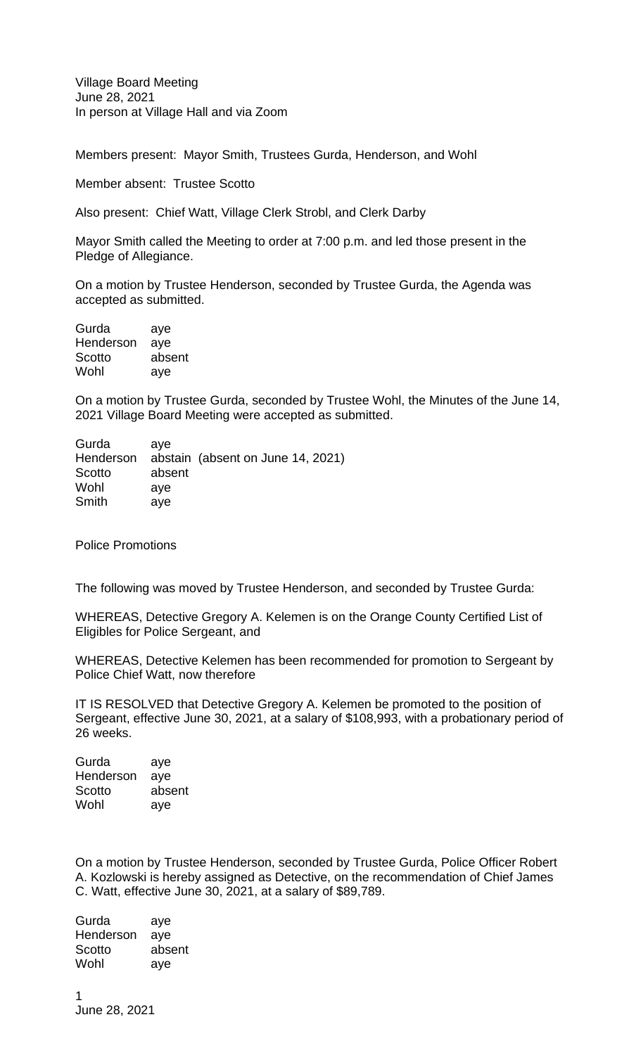Village Board Meeting June 28, 2021 In person at Village Hall and via Zoom

Members present: Mayor Smith, Trustees Gurda, Henderson, and Wohl

Member absent: Trustee Scotto

Also present: Chief Watt, Village Clerk Strobl, and Clerk Darby

Mayor Smith called the Meeting to order at 7:00 p.m. and led those present in the Pledge of Allegiance.

On a motion by Trustee Henderson, seconded by Trustee Gurda, the Agenda was accepted as submitted.

Gurda aye Henderson aye Scotto absent Wohl aye

On a motion by Trustee Gurda, seconded by Trustee Wohl, the Minutes of the June 14, 2021 Village Board Meeting were accepted as submitted.

| Gurda     | ave    |                                   |  |
|-----------|--------|-----------------------------------|--|
| Henderson |        | abstain (absent on June 14, 2021) |  |
| Scotto    | absent |                                   |  |
| Wohl      | ave    |                                   |  |
| Smith     | ave    |                                   |  |

Police Promotions

The following was moved by Trustee Henderson, and seconded by Trustee Gurda:

WHEREAS, Detective Gregory A. Kelemen is on the Orange County Certified List of Eligibles for Police Sergeant, and

WHEREAS, Detective Kelemen has been recommended for promotion to Sergeant by Police Chief Watt, now therefore

IT IS RESOLVED that Detective Gregory A. Kelemen be promoted to the position of Sergeant, effective June 30, 2021, at a salary of \$108,993, with a probationary period of 26 weeks.

| Gurda     | aye    |
|-----------|--------|
| Henderson | aye    |
| Scotto    | absent |
| Wohl      | aye    |

On a motion by Trustee Henderson, seconded by Trustee Gurda, Police Officer Robert A. Kozlowski is hereby assigned as Detective, on the recommendation of Chief James C. Watt, effective June 30, 2021, at a salary of \$89,789.

Gurda aye Henderson aye Scotto absent Wohl aye

1 June 28, 2021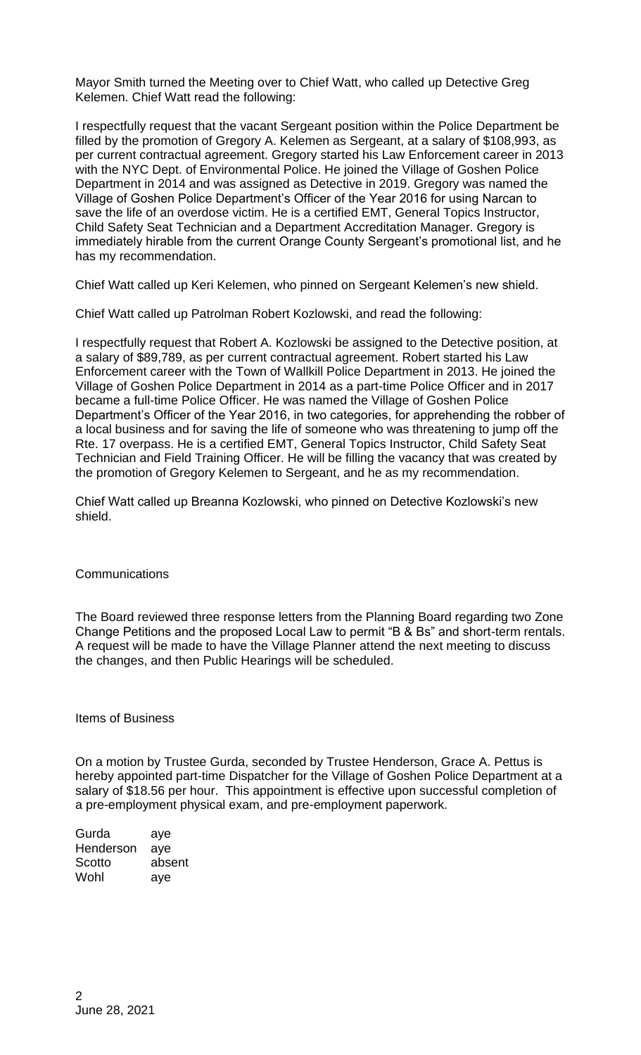Mayor Smith turned the Meeting over to Chief Watt, who called up Detective Greg Kelemen. Chief Watt read the following:

I respectfully request that the vacant Sergeant position within the Police Department be filled by the promotion of Gregory A. Kelemen as Sergeant, at a salary of \$108,993, as per current contractual agreement. Gregory started his Law Enforcement career in 2013 with the NYC Dept. of Environmental Police. He joined the Village of Goshen Police Department in 2014 and was assigned as Detective in 2019. Gregory was named the Village of Goshen Police Department's Officer of the Year 2016 for using Narcan to save the life of an overdose victim. He is a certified EMT, General Topics Instructor, Child Safety Seat Technician and a Department Accreditation Manager. Gregory is immediately hirable from the current Orange County Sergeant's promotional list, and he has my recommendation.

Chief Watt called up Keri Kelemen, who pinned on Sergeant Kelemen's new shield.

Chief Watt called up Patrolman Robert Kozlowski, and read the following:

I respectfully request that Robert A. Kozlowski be assigned to the Detective position, at a salary of \$89,789, as per current contractual agreement. Robert started his Law Enforcement career with the Town of Wallkill Police Department in 2013. He joined the Village of Goshen Police Department in 2014 as a part-time Police Officer and in 2017 became a full-time Police Officer. He was named the Village of Goshen Police Department's Officer of the Year 2016, in two categories, for apprehending the robber of a local business and for saving the life of someone who was threatening to jump off the Rte. 17 overpass. He is a certified EMT, General Topics Instructor, Child Safety Seat Technician and Field Training Officer. He will be filling the vacancy that was created by the promotion of Gregory Kelemen to Sergeant, and he as my recommendation.

Chief Watt called up Breanna Kozlowski, who pinned on Detective Kozlowski's new shield.

## **Communications**

The Board reviewed three response letters from the Planning Board regarding two Zone Change Petitions and the proposed Local Law to permit "B & Bs" and short-term rentals. A request will be made to have the Village Planner attend the next meeting to discuss the changes, and then Public Hearings will be scheduled.

Items of Business

On a motion by Trustee Gurda, seconded by Trustee Henderson, Grace A. Pettus is hereby appointed part-time Dispatcher for the Village of Goshen Police Department at a salary of \$18.56 per hour. This appointment is effective upon successful completion of a pre-employment physical exam, and pre-employment paperwork.

Gurda aye Henderson aye Scotto absent Wohl aye